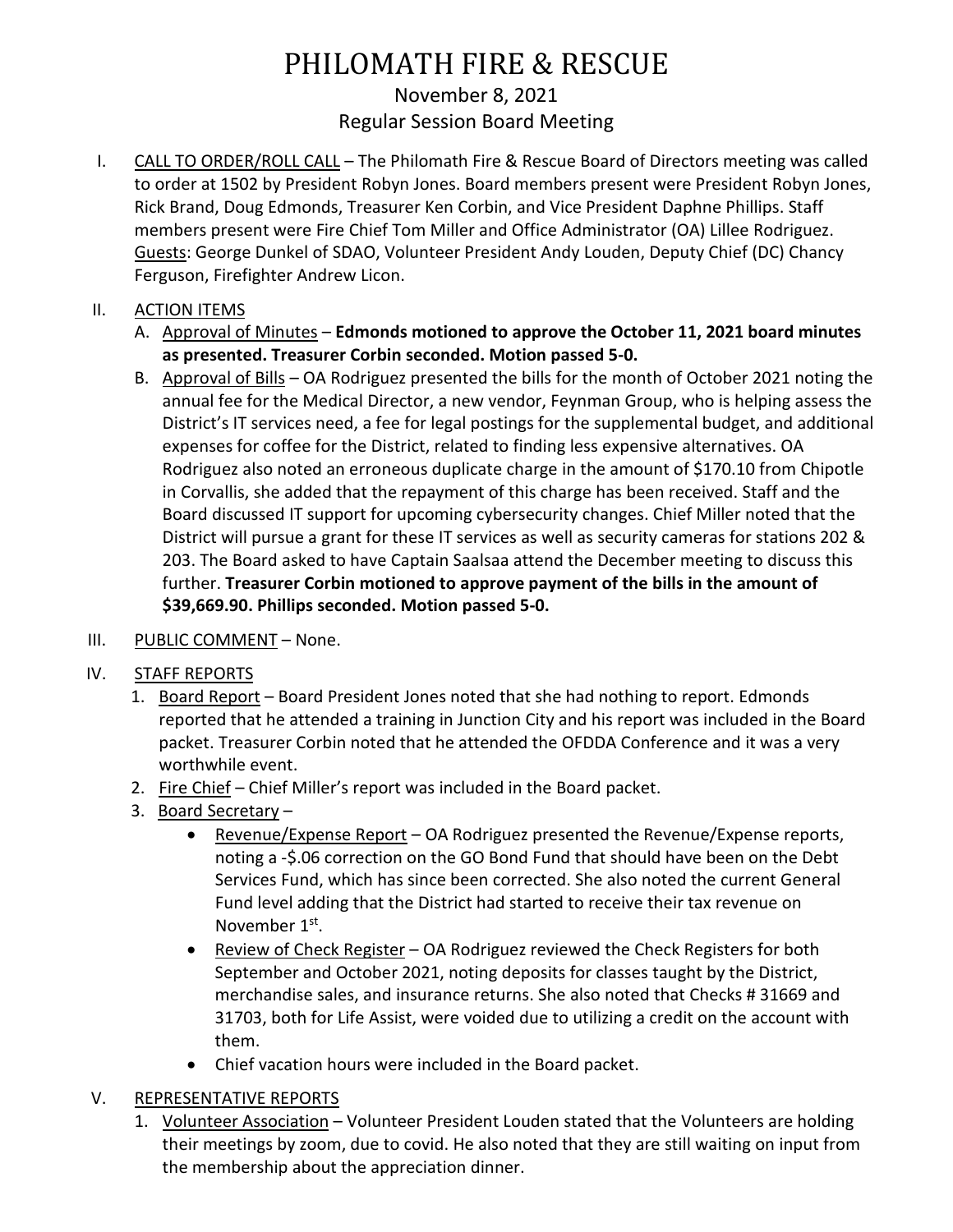# PHILOMATH FIRE & RESCUE November 8, 2021 Regular Session Board Meeting

I. CALL TO ORDER/ROLL CALL - The Philomath Fire & Rescue Board of Directors meeting was called to order at 1502 by President Robyn Jones. Board members present were President Robyn Jones, Rick Brand, Doug Edmonds, Treasurer Ken Corbin, and Vice President Daphne Phillips. Staff members present were Fire Chief Tom Miller and Office Administrator (OA) Lillee Rodriguez. Guests: George Dunkel of SDAO, Volunteer President Andy Louden, Deputy Chief (DC) Chancy Ferguson, Firefighter Andrew Licon.

## II. ACTION ITEMS

- A. Approval of Minutes **Edmonds motioned to approve the October 11, 2021 board minutes as presented. Treasurer Corbin seconded. Motion passed 5-0.**
- B. Approval of Bills OA Rodriguez presented the bills for the month of October 2021 noting the annual fee for the Medical Director, a new vendor, Feynman Group, who is helping assess the District's IT services need, a fee for legal postings for the supplemental budget, and additional expenses for coffee for the District, related to finding less expensive alternatives. OA Rodriguez also noted an erroneous duplicate charge in the amount of \$170.10 from Chipotle in Corvallis, she added that the repayment of this charge has been received. Staff and the Board discussed IT support for upcoming cybersecurity changes. Chief Miller noted that the District will pursue a grant for these IT services as well as security cameras for stations 202 & 203. The Board asked to have Captain Saalsaa attend the December meeting to discuss this further. **Treasurer Corbin motioned to approve payment of the bills in the amount of \$39,669.90. Phillips seconded. Motion passed 5-0.**
- III. PUBLIC COMMENT None.
- IV. STAFF REPORTS
	- 1. Board Report Board President Jones noted that she had nothing to report. Edmonds reported that he attended a training in Junction City and his report was included in the Board packet. Treasurer Corbin noted that he attended the OFDDA Conference and it was a very worthwhile event.
	- 2. Fire Chief Chief Miller's report was included in the Board packet.
	- 3. Board Secretary
		- Revenue/Expense Report OA Rodriguez presented the Revenue/Expense reports, noting a -\$.06 correction on the GO Bond Fund that should have been on the Debt Services Fund, which has since been corrected. She also noted the current General Fund level adding that the District had started to receive their tax revenue on November 1st.
		- Review of Check Register OA Rodriguez reviewed the Check Registers for both September and October 2021, noting deposits for classes taught by the District, merchandise sales, and insurance returns. She also noted that Checks # 31669 and 31703, both for Life Assist, were voided due to utilizing a credit on the account with them.
		- Chief vacation hours were included in the Board packet.

#### V. REPRESENTATIVE REPORTS

1. Volunteer Association – Volunteer President Louden stated that the Volunteers are holding their meetings by zoom, due to covid. He also noted that they are still waiting on input from the membership about the appreciation dinner.